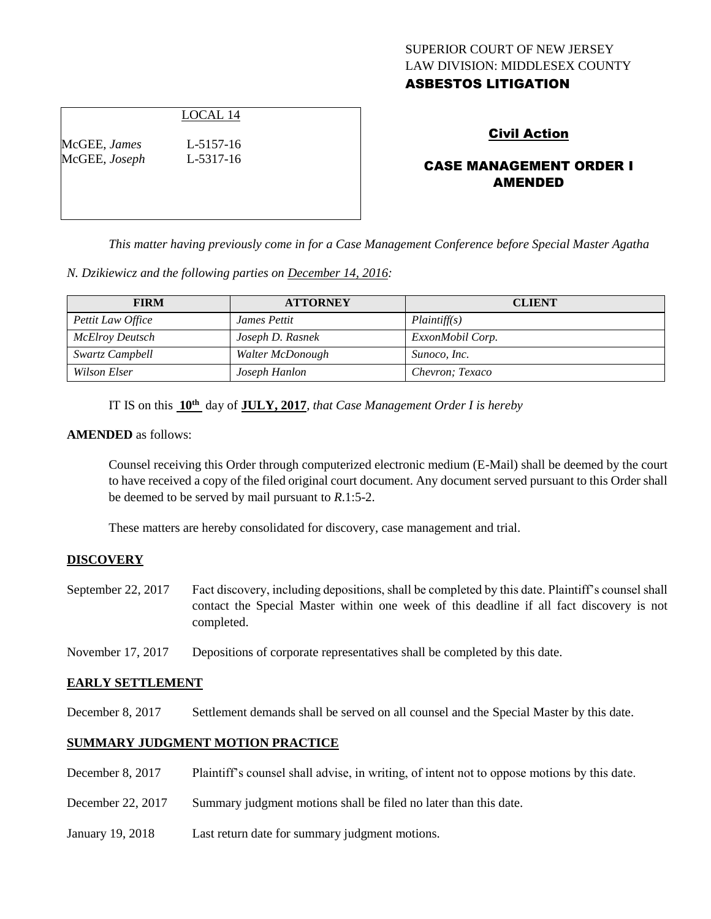## SUPERIOR COURT OF NEW JERSEY LAW DIVISION: MIDDLESEX COUNTY ASBESTOS LITIGATION

## LOCAL 14

McGEE, *James* L-5157-16 McGEE, *Joseph* L-5317-16

## Civil Action

# CASE MANAGEMENT ORDER I AMENDED

*This matter having previously come in for a Case Management Conference before Special Master Agatha* 

*N. Dzikiewicz and the following parties on December 14, 2016:*

| <b>FIRM</b>       | <b>ATTORNEY</b>  | <b>CLIENT</b>    |
|-------------------|------------------|------------------|
| Pettit Law Office | James Pettit     | Plaintiff(s)     |
| McElroy Deutsch   | Joseph D. Rasnek | ExxonMobil Corp. |
| Swartz Campbell   | Walter McDonough | Sunoco, Inc.     |
| Wilson Elser      | Joseph Hanlon    | Chevron; Texaco  |

IT IS on this  $10^{\text{th}}$  day of **JULY, 2017**, *that Case Management Order I is hereby* 

#### **AMENDED** as follows:

Counsel receiving this Order through computerized electronic medium (E-Mail) shall be deemed by the court to have received a copy of the filed original court document. Any document served pursuant to this Order shall be deemed to be served by mail pursuant to *R*.1:5-2.

These matters are hereby consolidated for discovery, case management and trial.

#### **DISCOVERY**

September 22, 2017 Fact discovery, including depositions, shall be completed by this date. Plaintiff's counsel shall contact the Special Master within one week of this deadline if all fact discovery is not completed.

November 17, 2017 Depositions of corporate representatives shall be completed by this date.

#### **EARLY SETTLEMENT**

December 8, 2017 Settlement demands shall be served on all counsel and the Special Master by this date.

#### **SUMMARY JUDGMENT MOTION PRACTICE**

| December 8, 2017  | Plaintiff's counsel shall advise, in writing, of intent not to oppose motions by this date. |
|-------------------|---------------------------------------------------------------------------------------------|
| December 22, 2017 | Summary judgment motions shall be filed no later than this date.                            |
| January 19, 2018  | Last return date for summary judgment motions.                                              |